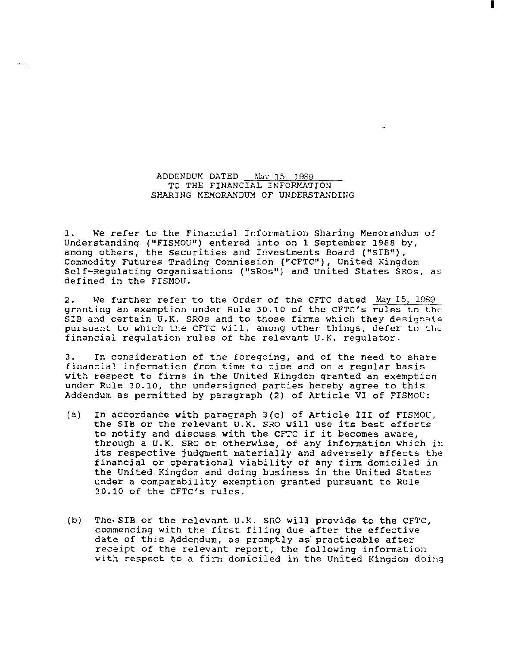ADDENDUM DATED May 15, 1989 TO THE FINANCIAL INFORMATION SHARING MEMORANDUM OF UNDERSTANDING

 $\hat{\phi}_{\rm{in}}$ 

I

1. we refer to the Financial Information Sharing Memorandum of Understanding ("FISMOU") entered into on 1 september 1988 by, among others, the Securities and Investments Board ("SIB"), Commodity Futures Trading Commission ("CFTC"), United Kingdom Self-Regulating Organisations ("SROs") and United States SROs, as defined in the FISMOU.

2. we further refer to the order of the CFTC dated May 15, 1089 granting an exemption under Rule 30.10 of the CFTC's rules to the SIB and certain U.K. SROs and to those firms which they designate pursuant to which the CFTC will, among other things, defer to the financial regulation rules of the relevant U.K. regulator.

3. In consideration of the foregoing, and of the need to share financial information from time to time and on a regular basis with respect to firms in the United Kingdom granted an exemption under Rule 30.10, the undersigned parties hereby agree to this Addendum as permitted by paragraph (2) of Article VI of FISMOU:

- (a) In accordance with paragraph 3(c) of Article III of FISMOU, the SIB or the relevant U.K. SRO will use its best efforts to notify and discuss with the CFTC *if* it becomes aware, through a U.K. SRO or otherwise, of any information which in its respective judgment materially and adversely affects the financial or operational viability of any *firm* domiciled in the United Kingdom and doing business in the United States under a comparability exemption granted pursuant to Rule 30.10 of the CFTC's rules.
- (b) The. SIB or the relevant U.K. SRO will provide to the CFTC, commencing with the first filing due after the effective date of this Addendum, as promptly as practicable after receipt of the relevant report, the following information with respect to a firm domiciled in the United Kingdom doing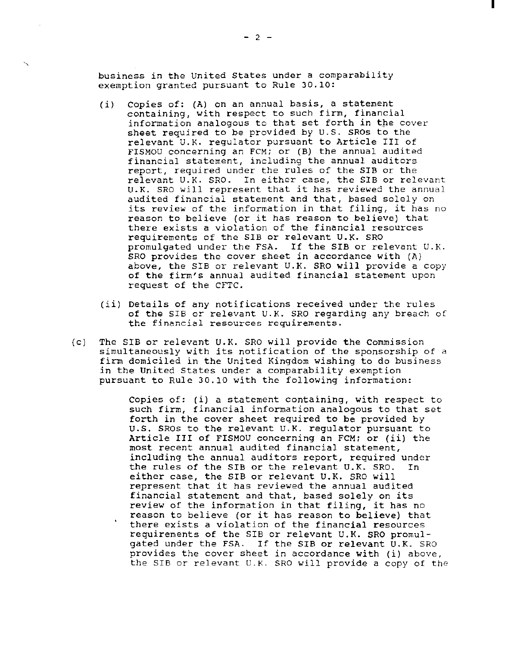business in the United States under a comparability exemption granted pursuant to Rule 30.10:

- (i) Copies of: (A) on an annual basis, a statement containing, with respect to such firm, financial information analogous to that set forth in the cover sheet required to be provided by U.S. SROs to the relevant U.K. regulator pursuant to Article III of FISMOU concerning an FCM; or (B) the annual audited financial statement, including the annual auditors report, required under the rules of the SIB or the relevant U.K. SRO. In either case, the SIB or relevant U.K. SRO will represent that it has reviewed the annual audited financial statement and that, based solely on its review of the information in that filing, it has no reason to believe (or it has reason to believe) that there exists a violation of the financial resources requirements of the SIB or relevant U.K. SRO<br>promulgated under the FSA. If the SIB or re If the SIB or relevant U.K. SRO provides the cover sheet in accordance with (A) above, the SIB or relevant U.K. SRO will provide a copy of the firm's annual audited financial statement upon request of the CFTC.
- *(ii)* Details of any notifications received under the rules of the SIB or relevant U.K. SRO regarding any breach of the financial resources requirements.
- (c) The SIB or relevant U.K. SRO will provide the Commission simultaneously with its notification of the sponsorship of a firm domiciled in the United Kingdom wishing to do business in the United States under a comparability exemption pursuant to Rule 30.10 with the following information:

Copies of: (i) a statement containing, with respect to such firm, financial information analogous to that set forth in the cover sheet required to be provided by u.s. SROs to the relevant U.K. regulator pursuant to Article III of FISMOU concerning an FCM; or (ii) the most recent annual audited financial statement, including the annual auditors report, required under the rules of the SIB or the relevant U.K. SRO. In either case, the SIB or relevant U.K. SRO *will*  represent that it has reviewed the annual audited financial statement and that, based solely on its review of the information in that filing, it has no reason to believe (or it has reason to believe) that there exists a violation of the financial resources requirements of the SIB or relevant U.K. SRO promulgated under the FSA. If the SIB or relevant U.K. SRO provides the cover sheet in accordance with (i) above, the SIB or relevant U.K. SRO will provide a copy of the I